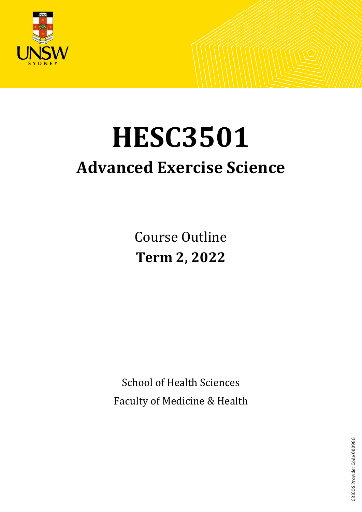

# **HESC3501 Advanced Exercise Science**

Course Outline **Term 2, 2022**

School of Health Sciences Faculty of Medicine & Health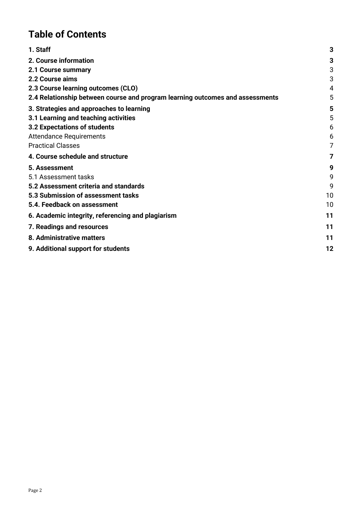# **Table of Contents**

| 1. Staff                                                                      | 3  |
|-------------------------------------------------------------------------------|----|
| 2. Course information                                                         | 3  |
| 2.1 Course summary                                                            | 3  |
| 2.2 Course aims                                                               | 3  |
| 2.3 Course learning outcomes (CLO)                                            | 4  |
| 2.4 Relationship between course and program learning outcomes and assessments | 5  |
| 3. Strategies and approaches to learning                                      | 5  |
| 3.1 Learning and teaching activities                                          | 5  |
| 3.2 Expectations of students                                                  | 6  |
| <b>Attendance Requirements</b>                                                | 6  |
| <b>Practical Classes</b>                                                      | 7  |
| 4. Course schedule and structure                                              | 7  |
| 5. Assessment                                                                 | 9  |
| 5.1 Assessment tasks                                                          | 9  |
| 5.2 Assessment criteria and standards                                         | 9  |
| 5.3 Submission of assessment tasks                                            | 10 |
| 5.4. Feedback on assessment                                                   | 10 |
| 6. Academic integrity, referencing and plagiarism                             | 11 |
| 7. Readings and resources                                                     | 11 |
| 8. Administrative matters                                                     | 11 |
| 9. Additional support for students                                            | 12 |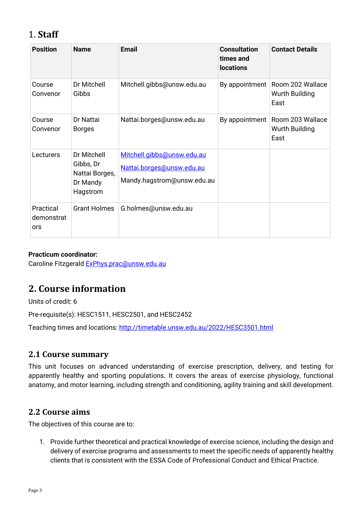# <span id="page-2-0"></span>1. **Staff**

| <b>Position</b>                | <b>Name</b>                                                        | <b>Email</b>                                                                          | <b>Consultation</b><br>times and<br><b>locations</b> | <b>Contact Details</b>                     |
|--------------------------------|--------------------------------------------------------------------|---------------------------------------------------------------------------------------|------------------------------------------------------|--------------------------------------------|
| Course<br>Convenor             | Dr Mitchell<br>Gibbs                                               | Mitchell.gibbs@unsw.edu.au                                                            | By appointment                                       | Room 202 Wallace<br>Wurth Building<br>East |
| Course<br>Convenor             | Dr Nattai<br><b>Borges</b>                                         | Nattai.borges@unsw.edu.au                                                             | By appointment                                       | Room 203 Wallace<br>Wurth Building<br>East |
| Lecturers                      | Dr Mitchell<br>Gibbs, Dr<br>Nattai Borges,<br>Dr Mandy<br>Hagstrom | Mitchell.gibbs@unsw.edu.au<br>Nattai.borges@unsw.edu.au<br>Mandy.hagstrom@unsw.edu.au |                                                      |                                            |
| Practical<br>demonstrat<br>ors | <b>Grant Holmes</b>                                                | G.holmes@unsw.edu.au                                                                  |                                                      |                                            |

#### **Practicum coordinator:**

Caroline Fitzgerald [ExPhys.prac@unsw.edu.au](mailto:ExPhys.prac@unsw.edu.au)

# <span id="page-2-1"></span>**2. Course information**

Units of credit: 6

Pre-requisite(s): HESC1511, HESC2501, and HESC2452

Teaching times and locations:<http://timetable.unsw.edu.au/2022/HESC3501.html>

## <span id="page-2-2"></span>**2.1 Course summary**

This unit focuses on advanced understanding of exercise prescription, delivery, and testing for apparently healthy and sporting populations. It covers the areas of exercise physiology, functional anatomy, and motor learning, including strength and conditioning, agility training and skill development.

## <span id="page-2-3"></span>**2.2 Course aims**

The objectives of this course are to:

1. Provide further theoretical and practical knowledge of exercise science, including the design and delivery of exercise programs and assessments to meet the specific needs of apparently healthy clients that is consistent with the ESSA Code of Professional Conduct and Ethical Practice.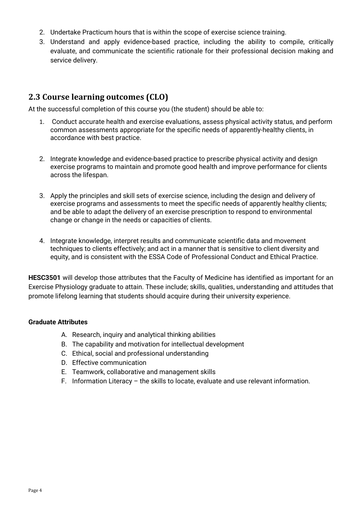- 2. Undertake Practicum hours that is within the scope of exercise science training.
- 3. Understand and apply evidence-based practice, including the ability to compile, critically evaluate, and communicate the scientific rationale for their professional decision making and service delivery.

## <span id="page-3-0"></span>**2.3 Course learning outcomes (CLO)**

At the successful completion of this course you (the student) should be able to:

- 1. Conduct accurate health and exercise evaluations, assess physical activity status, and perform common assessments appropriate for the specific needs of apparently-healthy clients, in accordance with best practice.
- 2. Integrate knowledge and evidence-based practice to prescribe physical activity and design exercise programs to maintain and promote good health and improve performance for clients across the lifespan.
- 3. Apply the principles and skill sets of exercise science, including the design and delivery of exercise programs and assessments to meet the specific needs of apparently healthy clients; and be able to adapt the delivery of an exercise prescription to respond to environmental change or change in the needs or capacities of clients.
- 4. Integrate knowledge, interpret results and communicate scientific data and movement techniques to clients effectively; and act in a manner that is sensitive to client diversity and equity, and is consistent with the ESSA Code of Professional Conduct and Ethical Practice.

**HESC3501** will develop those attributes that the Faculty of Medicine has identified as important for an Exercise Physiology graduate to attain. These include; skills, qualities, understanding and attitudes that promote lifelong learning that students should acquire during their university experience.

#### **Graduate Attributes**

- A. Research, inquiry and analytical thinking abilities
- B. The capability and motivation for intellectual development
- C. Ethical, social and professional understanding
- D. Effective communication
- E. Teamwork, collaborative and management skills
- F. Information Literacy the skills to locate, evaluate and use relevant information.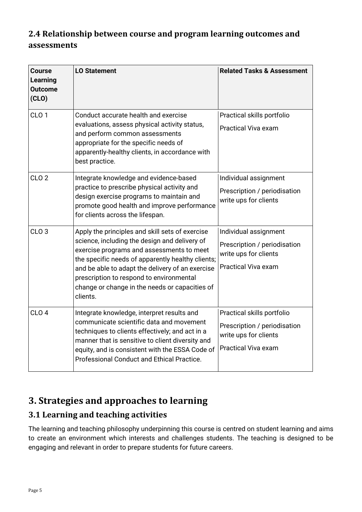# <span id="page-4-0"></span>**2.4 Relationship between course and program learning outcomes and assessments**

| <b>Course</b><br><b>Learning</b><br><b>Outcome</b><br>(CLO) | <b>LO Statement</b>                                                                                                                                                                                                                                                                                                                                              | <b>Related Tasks &amp; Assessment</b>                                                                      |
|-------------------------------------------------------------|------------------------------------------------------------------------------------------------------------------------------------------------------------------------------------------------------------------------------------------------------------------------------------------------------------------------------------------------------------------|------------------------------------------------------------------------------------------------------------|
| CLO <sub>1</sub>                                            | Conduct accurate health and exercise<br>evaluations, assess physical activity status,<br>and perform common assessments<br>appropriate for the specific needs of<br>apparently-healthy clients, in accordance with<br>best practice.                                                                                                                             | Practical skills portfolio<br><b>Practical Viva exam</b>                                                   |
| CLO <sub>2</sub>                                            | Integrate knowledge and evidence-based<br>practice to prescribe physical activity and<br>design exercise programs to maintain and<br>promote good health and improve performance<br>for clients across the lifespan.                                                                                                                                             | Individual assignment<br>Prescription / periodisation<br>write ups for clients                             |
| CLO <sub>3</sub>                                            | Apply the principles and skill sets of exercise<br>science, including the design and delivery of<br>exercise programs and assessments to meet<br>the specific needs of apparently healthy clients;<br>and be able to adapt the delivery of an exercise<br>prescription to respond to environmental<br>change or change in the needs or capacities of<br>clients. | Individual assignment<br>Prescription / periodisation<br>write ups for clients<br>Practical Viva exam      |
| CLO <sub>4</sub>                                            | Integrate knowledge, interpret results and<br>communicate scientific data and movement<br>techniques to clients effectively; and act in a<br>manner that is sensitive to client diversity and<br>equity, and is consistent with the ESSA Code of<br>Professional Conduct and Ethical Practice.                                                                   | Practical skills portfolio<br>Prescription / periodisation<br>write ups for clients<br>Practical Viva exam |

# <span id="page-4-1"></span>**3. Strategies and approaches to learning**

## <span id="page-4-2"></span>**3.1 Learning and teaching activities**

The learning and teaching philosophy underpinning this course is centred on student learning and aims to create an environment which interests and challenges students. The teaching is designed to be engaging and relevant in order to prepare students for future careers.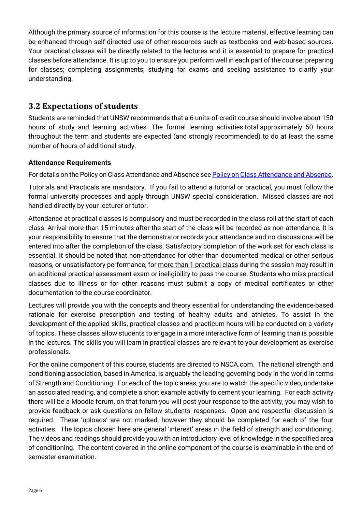Although the primary source of information for this course is the lecture material, effective learning can be enhanced through self-directed use of other resources such as textbooks and web-based sources. Your practical classes will be directly related to the lectures and it is essential to prepare for practical classes before attendance. It is up to you to ensure you perform well in each part of the course; preparing for classes; completing assignments; studying for exams and seeking assistance to clarify your understanding.

## <span id="page-5-0"></span>**3.2 Expectations of students**

Students are reminded that UNSW recommends that a 6 units-of-credit course should involve about 150 hours of study and learning activities. The formal learning activities total approximately 50 hours throughout the term and students are expected (and strongly recommended) to do at least the same number of hours of additional study.

## <span id="page-5-1"></span>**Attendance Requirements**

For details on the Policy on Class Attendance and Absence se[e Policy on Class Attendance and Absence.](https://student.unsw.edu.au/attendance)

Tutorials and Practicals are mandatory. If you fail to attend a tutorial or practical, you must follow the formal university processes and apply through UNSW special consideration. Missed classes are not handled directly by your lecturer or tutor.

Attendance at practical classes is compulsory and must be recorded in the class roll at the start of each class. Arrival more than 15 minutes after the start of the class will be recorded as non-attendance. It is your responsibility to ensure that the demonstrator records your attendance and no discussions will be entered into after the completion of the class. Satisfactory completion of the work set for each class is essential. It should be noted that non-attendance for other than documented medical or other serious reasons, or unsatisfactory performance, for more than 1 practical class during the session may result in an additional practical assessment exam or ineligibility to pass the course. Students who miss practical classes due to illness or for other reasons must submit a copy of medical certificates or other documentation to the course coordinator.

Lectures will provide you with the concepts and theory essential for understanding the evidence-based rationale for exercise prescription and testing of healthy adults and athletes. To assist in the development of the applied skills, practical classes and practicum hours will be conducted on a variety of topics. These classes allow students to engage in a more interactive form of learning than is possible in the lectures. The skills you will learn in practical classes are relevant to your development as exercise professionals.

For the online component of this course, students are directed to NSCA.com. The national strength and conditioning association, based in America, is arguably the leading governing body in the world in terms of Strength and Conditioning. For each of the topic areas, you are to watch the specific video, undertake an associated reading, and complete a short example activity to cement your learning. For each activity there will be a Moodle forum, on that forum you will post your response to the activity, you may wish to provide feedback or ask questions on fellow students' responses. Open and respectful discussion is required. These 'uploads' are not marked, however they should be completed for each of the four activities. The topics chosen here are general 'interest' areas in the field of strength and conditioning. The videos and readings should provide you with an introductory level of knowledge in the specified area of conditioning. The content covered in the online component of the course is examinable in the end of semester examination.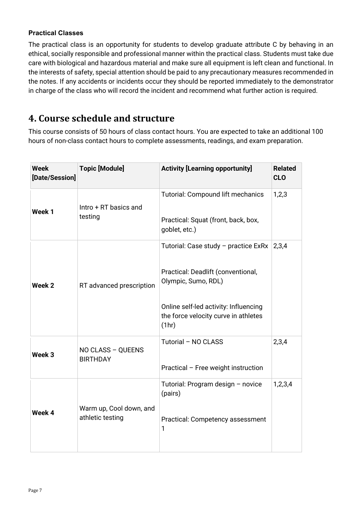#### <span id="page-6-0"></span>**Practical Classes**

The practical class is an opportunity for students to develop graduate attribute C by behaving in an ethical, socially responsible and professional manner within the practical class. Students must take due care with biological and hazardous material and make sure all equipment is left clean and functional. In the interests of safety, special attention should be paid to any precautionary measures recommended in the notes. If any accidents or incidents occur they should be reported immediately to the demonstrator in charge of the class who will record the incident and recommend what further action is required.

# <span id="page-6-1"></span>**4. Course schedule and structure**

This course consists of 50 hours of class contact hours. You are expected to take an additional 100 hours of non-class contact hours to complete assessments, readings, and exam preparation.

| <b>Week</b><br>[Date/Session] | <b>Topic [Module]</b>                       | <b>Activity [Learning opportunity]</b>                                                                                                                                                      | <b>Related</b><br><b>CLO</b> |
|-------------------------------|---------------------------------------------|---------------------------------------------------------------------------------------------------------------------------------------------------------------------------------------------|------------------------------|
| Week 1                        | Intro + RT basics and<br>testing            | <b>Tutorial: Compound lift mechanics</b><br>Practical: Squat (front, back, box,<br>goblet, etc.)                                                                                            | 1,2,3                        |
| Week 2                        | RT advanced prescription                    | Tutorial: Case study - practice ExRx<br>Practical: Deadlift (conventional,<br>Olympic, Sumo, RDL)<br>Online self-led activity: Influencing<br>the force velocity curve in athletes<br>(1hr) | 2,3,4                        |
| Week 3                        | NO CLASS - QUEENS<br><b>BIRTHDAY</b>        | Tutorial - NO CLASS<br>Practical - Free weight instruction                                                                                                                                  | 2,3,4                        |
| Week 4                        | Warm up, Cool down, and<br>athletic testing | Tutorial: Program design - novice<br>(pairs)<br>Practical: Competency assessment<br>1                                                                                                       | 1,2,3,4                      |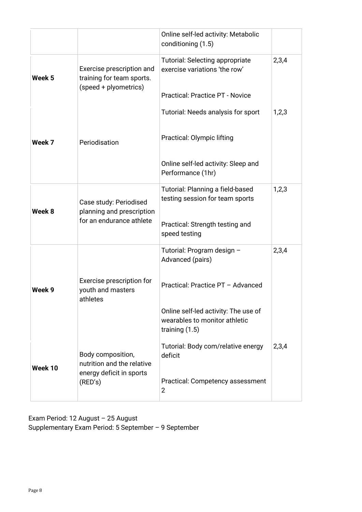|         |                                                                                        | Online self-led activity: Metabolic<br>conditioning (1.5)                                                                                                                        |       |
|---------|----------------------------------------------------------------------------------------|----------------------------------------------------------------------------------------------------------------------------------------------------------------------------------|-------|
| Week 5  | Exercise prescription and<br>training for team sports.<br>(speed + plyometrics)        | <b>Tutorial: Selecting appropriate</b><br>exercise variations 'the row'<br><b>Practical: Practice PT - Novice</b>                                                                | 2,3,4 |
| Week 7  | Periodisation                                                                          | Tutorial: Needs analysis for sport<br>Practical: Olympic lifting<br>Online self-led activity: Sleep and<br>Performance (1hr)                                                     | 1,2,3 |
| Week 8  | Case study: Periodised<br>planning and prescription<br>for an endurance athlete        | Tutorial: Planning a field-based<br>testing session for team sports<br>Practical: Strength testing and<br>speed testing                                                          | 1,2,3 |
| Week 9  | Exercise prescription for<br>youth and masters<br>athletes                             | Tutorial: Program design -<br>Advanced (pairs)<br>Practical: Practice PT - Advanced<br>Online self-led activity: The use of<br>wearables to monitor athletic<br>training $(1.5)$ | 2,3,4 |
| Week 10 | Body composition,<br>nutrition and the relative<br>energy deficit in sports<br>(RED's) | Tutorial: Body com/relative energy<br>deficit<br>Practical: Competency assessment<br>$\overline{2}$                                                                              | 2,3,4 |

Exam Period: 12 August – 25 August Supplementary Exam Period: 5 September – 9 September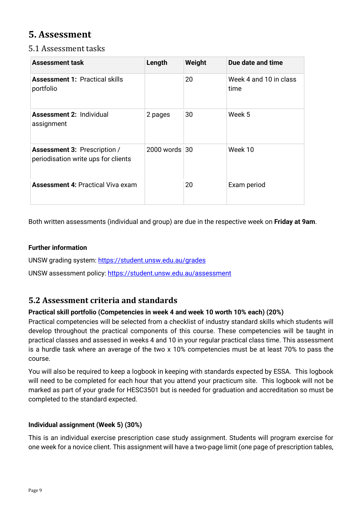# <span id="page-8-0"></span>**5. Assessment**

## <span id="page-8-1"></span>5.1 Assessment tasks

| <b>Assessment task</b>                                                     | Length             | Weight | Due date and time              |
|----------------------------------------------------------------------------|--------------------|--------|--------------------------------|
| <b>Assessment 1: Practical skills</b><br>portfolio                         |                    | 20     | Week 4 and 10 in class<br>time |
| <b>Assessment 2: Individual</b><br>assignment                              | 2 pages            | 30     | Week 5                         |
| <b>Assessment 3: Prescription /</b><br>periodisation write ups for clients | $2000$ words $ 30$ |        | Week 10                        |
| <b>Assessment 4: Practical Viva exam</b>                                   |                    | 20     | Exam period                    |

Both written assessments (individual and group) are due in the respective week on **Friday at 9am**.

## **Further information**

UNSW grading system:<https://student.unsw.edu.au/grades>

UNSW assessment policy:<https://student.unsw.edu.au/assessment>

## <span id="page-8-2"></span>**5.2 Assessment criteria and standards**

## **Practical skill portfolio (Competencies in week 4 and week 10 worth 10% each) (20%)**

Practical competencies will be selected from a checklist of industry standard skills which students will develop throughout the practical components of this course. These competencies will be taught in practical classes and assessed in weeks 4 and 10 in your regular practical class time. This assessment is a hurdle task where an average of the two x 10% competencies must be at least 70% to pass the course.

You will also be required to keep a logbook in keeping with standards expected by ESSA. This logbook will need to be completed for each hour that you attend your practicum site. This logbook will not be marked as part of your grade for HESC3501 but is needed for graduation and accreditation so must be completed to the standard expected.

## **Individual assignment (Week 5) (30%)**

This is an individual exercise prescription case study assignment. Students will program exercise for one week for a novice client. This assignment will have a two-page limit (one page of prescription tables,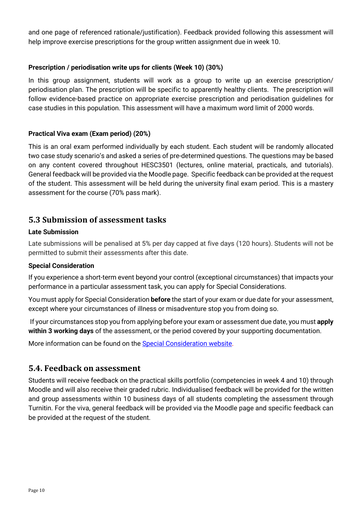and one page of referenced rationale/justification). Feedback provided following this assessment will help improve exercise prescriptions for the group written assignment due in week 10.

#### **Prescription / periodisation write ups for clients (Week 10) (30%)**

In this group assignment, students will work as a group to write up an exercise prescription/ periodisation plan. The prescription will be specific to apparently healthy clients. The prescription will follow evidence-based practice on appropriate exercise prescription and periodisation guidelines for case studies in this population. This assessment will have a maximum word limit of 2000 words.

#### **Practical Viva exam (Exam period) (20%)**

This is an oral exam performed individually by each student. Each student will be randomly allocated two case study scenario's and asked a series of pre-determined questions. The questions may be based on any content covered throughout HESC3501 (lectures, online material, practicals, and tutorials). General feedback will be provided via the Moodle page. Specific feedback can be provided at the request of the student. This assessment will be held during the university final exam period. This is a mastery assessment for the course (70% pass mark).

## <span id="page-9-0"></span>**5.3 Submission of assessment tasks**

#### **Late Submission**

Late submissions will be penalised at 5% per day capped at five days (120 hours). Students will not be permitted to submit their assessments after this date.

#### **Special Consideration**

If you experience a short-term event beyond your control (exceptional circumstances) that impacts your performance in a particular assessment task, you can apply for Special Considerations.

You must apply for Special Consideration **before** the start of your exam or due date for your assessment, except where your circumstances of illness or misadventure stop you from doing so.

If your circumstances stop you from applying before your exam or assessment due date, you must **apply within 3 working days** of the assessment, or the period covered by your supporting documentation.

More information can be found on the [Special Consideration website.](https://www.student.unsw.edu.au/special-consideration)

## <span id="page-9-1"></span>**5.4. Feedback on assessment**

Students will receive feedback on the practical skills portfolio (competencies in week 4 and 10) through Moodle and will also receive their graded rubric. Individualised feedback will be provided for the written and group assessments within 10 business days of all students completing the assessment through Turnitin. For the viva, general feedback will be provided via the Moodle page and specific feedback can be provided at the request of the student.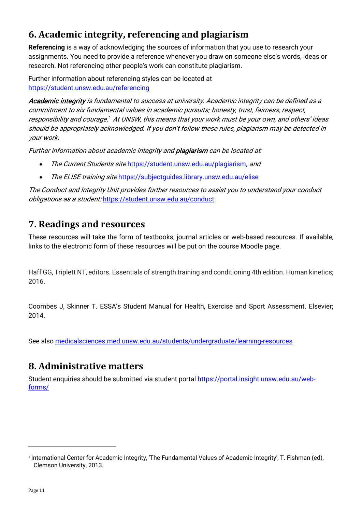# <span id="page-10-0"></span>**6. Academic integrity, referencing and plagiarism**

**Referencing** is a way of acknowledging the sources of information that you use to research your assignments. You need to provide a reference whenever you draw on someone else's words, ideas or research. Not referencing other people's work can constitute plagiarism.

Further information about referencing styles can be located at <https://student.unsw.edu.au/referencing>

Academic integrity is fundamental to success at university. Academic integrity can be defined as a commitment to six fundamental values in academic pursuits: honesty, trust, fairness, respect, responsibility and courage.[1](#page-10-3) At UNSW, this means that your work must be your own, and others' ideas should be appropriately acknowledged. If you don't follow these rules, plagiarism may be detected in your work.

Further information about academic integrity and **plagiarism** can be located at:

- The Current Students site <https://student.unsw.edu.au/plagiarism>, and
- The ELISE training site https://subjectquides.library.unsw.edu.au/elise

The Conduct and Integrity Unit provides further resources to assist you to understand your conduct obligations as a student: <https://student.unsw.edu.au/conduct>.

# <span id="page-10-1"></span>**7. Readings and resources**

These resources will take the form of textbooks, journal articles or web-based resources. If available, links to the electronic form of these resources will be put on the course Moodle page.

Haff GG, Triplett NT, editors. Essentials of strength training and conditioning 4th edition. Human kinetics; 2016.

Coombes J, Skinner T. ESSA's Student Manual for Health, Exercise and Sport Assessment. Elsevier; 2014.

See also [medicalsciences.med.unsw.edu.au/students/undergraduate/learning-resources](http://medicalsciences.med.unsw.edu.au/students/undergraduate/learning-resources)

# <span id="page-10-2"></span>**8. Administrative matters**

Student enquiries should be submitted via student portal [https://portal.insight.unsw.edu.au/web](https://portal.insight.unsw.edu.au/web-forms/)[forms/](https://portal.insight.unsw.edu.au/web-forms/)

<span id="page-10-3"></span><sup>1</sup> International Center for Academic Integrity, 'The Fundamental Values of Academic Integrity', T. Fishman (ed), Clemson University, 2013.